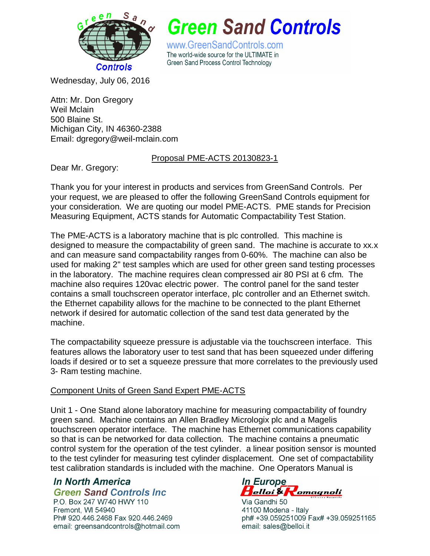

**Green Sand Controls** 

www.GreenSandControls.com The world-wide source for the ULTIMATE in Green Sand Process Control Technology

Wednesday, July 06, 2016

Attn: Mr. Don Gregory Weil Mclain 500 Blaine St. Michigan City, IN 46360-2388 Email: dgregory@weil-mclain.com

## Proposal PME-ACTS 20130823-1

Dear Mr. Gregory:

Thank you for your interest in products and services from GreenSand Controls. Per your request, we are pleased to offer the following GreenSand Controls equipment for your consideration. We are quoting our model PME-ACTS. PME stands for Precision Measuring Equipment, ACTS stands for Automatic Compactability Test Station.

The PME-ACTS is a laboratory machine that is plc controlled. This machine is designed to measure the compactability of green sand. The machine is accurate to xx.x and can measure sand compactability ranges from 0-60%. The machine can also be used for making 2" test samples which are used for other green sand testing processes in the laboratory. The machine requires clean compressed air 80 PSI at 6 cfm. The machine also requires 120vac electric power. The control panel for the sand tester contains a small touchscreen operator interface, plc controller and an Ethernet switch. the Ethernet capability allows for the machine to be connected to the plant Ethernet network if desired for automatic collection of the sand test data generated by the machine.

The compactability squeeze pressure is adjustable via the touchscreen interface. This features allows the laboratory user to test sand that has been squeezed under differing loads if desired or to set a squeeze pressure that more correlates to the previously used 3- Ram testing machine.

## Component Units of Green Sand Expert PME-ACTS

Unit 1 - One Stand alone laboratory machine for measuring compactability of foundry green sand. Machine contains an Allen Bradley Micrologix plc and a Magelis touchscreen operator interface. The machine has Ethernet communications capability so that is can be networked for data collection. The machine contains a pneumatic control system for the operation of the test cylinder. a linear position sensor is mounted to the test cylinder for measuring test cylinder displacement. One set of compactability test calibration standards is included with the machine. One Operators Manual is

## In North America **Green Sand Controls Inc.**

P.O. Box 247 W740 HWY 110 Fremont. WI 54940 Ph# 920.446.2468 Fax 920.446.2469 email: greensandcontrols@hotmail.com

In Europe Helloi & Romagnoli

Via Gandhi 50 41100 Modena - Italy ph# +39.059251009 Fax# +39.059251165 email: sales@belloi.it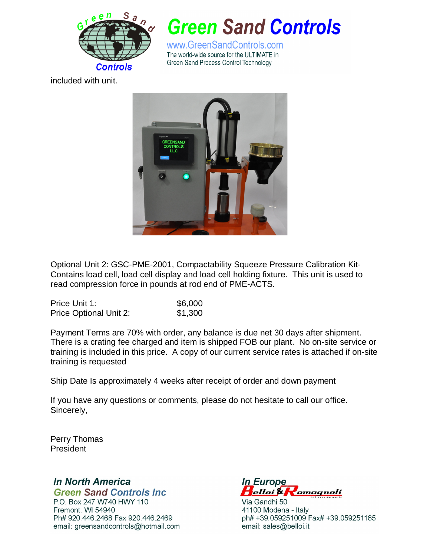

**Green Sand Controls** 

www.GreenSandControls.com The world-wide source for the ULTIMATE in Green Sand Process Control Technology

included with unit.



Optional Unit 2: GSC-PME-2001, Compactability Squeeze Pressure Calibration Kit-Contains load cell, load cell display and load cell holding fixture. This unit is used to read compression force in pounds at rod end of PME-ACTS.

| Price Unit 1:                 | \$6,000 |
|-------------------------------|---------|
| <b>Price Optional Unit 2:</b> | \$1,300 |

Payment Terms are 70% with order, any balance is due net 30 days after shipment. There is a crating fee charged and item is shipped FOB our plant. No on-site service or training is included in this price. A copy of our current service rates is attached if on-site training is requested

Ship Date Is approximately 4 weeks after receipt of order and down payment

If you have any questions or comments, please do not hesitate to call our office. Sincerely,

Perry Thomas President

In North America **Green Sand Controls Inc.** 

P.O. Box 247 W740 HWY 110 Fremont, WI 54940 Ph# 920.446.2468 Fax 920.446.2469 email: greensandcontrols@hotmail.com

**In Europe** Helloi & Romagnoli

Via Gandhi 50 41100 Modena - Italy ph# +39.059251009 Fax# +39.059251165 email: sales@belloi.it